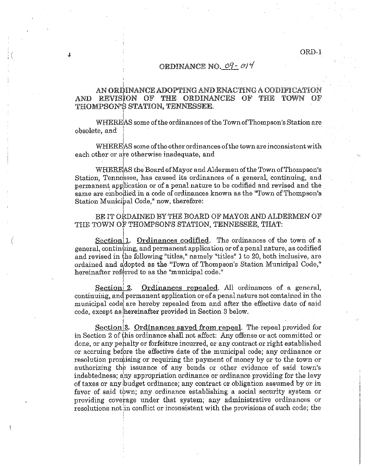## ORDINANCE NO. 09 - 014

## AN ORDINANCE ADOPTING AND ENACTING A CODIFICATION AND REVISION OF THE ORDINANCES OF THE TOWN OF THOMPSON'S STATION, TENNESSEE.

I  $\rm WHEREAS$  some of the ordinances of the Town of Thompson's Station are I obsolete, and i  $\mathbf{i}$ 

i  $\rm WHEREAS$  some of the other ordinances of the town are inconsistent with each other or are otherwise inadequate, and

WHEREAS the Board of Mayor and Aldermen of the Town of Thompson's Station, Tennessee, has caused its ordinances of a general, continuing, and permanent application or of a penal nature to be codified and revised and the same are embodied in a code of ordinances known as the "Town of Thompson's Station Municipal Code," now, therefore:

## BE IT ORDAINED BY THE BOARD OF MAYOR AND ALDERMEN OF THE TOWN OF THOMPSON'S STATION, TENNESSEE, THAT:

Section<sup>[1]</sup>. Ordinances codified. The ordinances of the town of a general, continhing, and permanent application or of a penal nature, as codified and revised in the following "titles," namely "titles" 1 to 20, both inclusive, are ordained and ddopted as the "Town of Thompson's Station Municipal Code," hereinafter referred to as the "municipal code."

Section 2. Ordinances repealed. All ordinances of a general, continuing, and permanent application or of a penal nature not contained in the municipal cOdel are hereby repealed from and after the effective date of said code, except as hereinafter provided in Section 3 below.

I Section<sup>3</sup>. Ordinances sayed from repeal. The repeal provided for in Section 2 of this ordinance shall not affect: Any offense or act committed or done, or any penalty or forfeiture incurred, or any contract or right established or accruing before the effective date of the municipal code; any ordinance or resolution promising or requiring the payment of money by or to the town or authorizing the issuance of any bonds or other evidence of said town's indebtedness; any appropriation ordinance or ordinance providing for the levy of taxes or any ibudget ordinance; any contract or obligation assumed by or in favor of said town; any ordinance establishing a social security system or providing coverage under that system; any administrative ordinances or  $\alpha$  resolutions not in conflict or inconsistent with the provisions of such code; the

,  $\frac{1}{1}$ 

I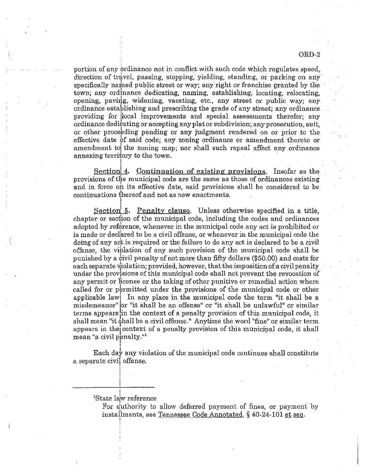ORD-2

portion of any ordinance not in conflict with such code which regulates speed, direction of travel, passing, stopping, yielding, standing, or parking on any specifically named public street or way; any right or franchise granted by the town; any ordinance dedicating, naming, establishing, locating, relocating, opening, paving, widening, vacating, etc., any street or public way; any ordinance establishing and prescribing the grade of any street; any ordinance providing for ilocal improvements and special assessments therefor; any ordinance dedicating or accepting any plat orsubdivision; any prosecution, suit, or other proceeding pending or any judgment rendered on or prior to the effective date of said code; any zoning ordinance or amendment thereto or amendment to the zoning map; nor shall such repeal affect any ordinance annexing territory to the town. I

Sectionl 4. Continuation of existing provisions. Insofar as the provisions of the municipal code are the same as those of ordinances existing and in force on its effective date, said provisions shall be considered to be continuations thereof and not as new enactments. I

Section 5. Penalty clause. Unless otherwise specified in a title, chapter or section of the municipal code, including the codes and ordinances adopted by reference, whenever in the municipal code any act is prohibited or is made or declared to be a civil offense, or whenever in the municipal code the doing of any act is required or the failure to do any act is declared to be a civil offense, the viblation of any such provision of the municipal code shall be punished by a ¢ivil penalty of not more than fifty dollars (\$50.00) and costs for each separate violation; provided, however, that the imposition of a civil penalty under the provisions of this municipal code shall not prevent the revocation of any permit or license or the taking of other punitive or remedial action where called for or permitted under the provisions of the municipal code or other applicable lawl In any place in the municipal code the term "it shall be a misdemeanor" or "it shall be an offense" or "it shall be unlawful" or similar terms appears lin the context of a penalty provision of this municipal code, it shall mean "it shall be a civil offense." Anytime the word "fine" or similar term appears in the context of a penalty provision of this municipal code, it shall mean "a civil penalty." ,

Each day any violation of the municipal code continues shall constitute a separate civil offense.

I <sup>1</sup>State law reference

> For authority to allow deferred payment of fines, or payment by installments, see Tennessee Code Annotated,  $\S$  40-24-101 et seq.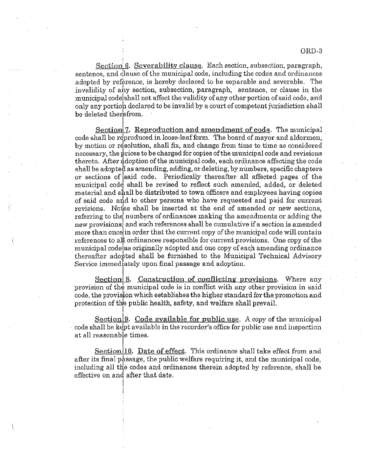Section 6. Severability clause. Each section, subsection, paragraph, sentence, and clause of the municipal code, including the codes and ordinances adopted by reference, is hereby declared to be separable and severable. The invalidity of any section, subsection, paragraph, sentence, or clause in the municipal code shall not affect the validity of any other portion of said code, and only any portion declared to be invalid by a court of competent jurisdiction shall be deleted therefrom.

Section 7. Reproduction and amendment of code. The municipal code shall be reproduced in loose-leaf form. The board of mayor and aldermen, by motion or resolution, shall fix, and change from time to time as considered necessary, the prices to be charged for copies of the municipal code and revisions thereto. After douction of the municipal code, each ordinance affecting the code shall be adopted as amending, adding, ox deleting, by numbers, specific chapters or sections of said code. Periodically thereafter all affected pages of the municipal code, shall be revised to reflect such amended, added, or deleted material and shall be distributed to town officers and employees having copies of said code and to other persons who have requested and paid for current revisions. Notes shall be inserted at the end of amended or new sections, referring to the numbers of ordinances making the amendments or adding the new provisions, and such references shall be cumulative if a section is amended more than oncelin order that the current copy ofthe municipal code will contain references to all ordinances responsible for current provisions. One copy of the municipal code las originally adopted and one copy of each amending ordinance thereafter adopted shall be furnished to the Municipal Technical Advisory Service immediately upon final passage and adoption.

I Section 8. Construction of conflicting provisions. Where any provision of the municipal code is in conflict with any other provision in said code, the provision which establishes the higher standard for the promotion and protection of the public health, safety, and welfare shall prevail.

Section<sup>19</sup>. Code available for public use. A copy of the municipal code shall be kept available in the recorder's office for public use and inspection at all reasonable times.

Section<sup>[10]</sup>. Date of effect. This ordinance shall take effect from and after its final passage, the public welfare requiring it, and the municipal code, including all *tHe* codes and ordinances therein adopted by reference, shall be effective on and after that date. I

 $\mathbf{I}$ :